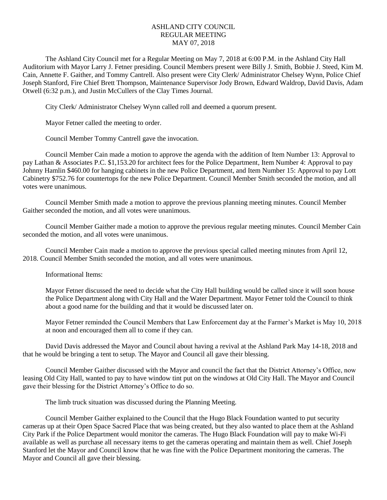## ASHLAND CITY COUNCIL REGULAR MEETING MAY 07, 2018

The Ashland City Council met for a Regular Meeting on May 7, 2018 at 6:00 P.M. in the Ashland City Hall Auditorium with Mayor Larry J. Fetner presiding. Council Members present were Billy J. Smith, Bobbie J. Steed, Kim M. Cain, Annette F. Gaither, and Tommy Cantrell. Also present were City Clerk/ Administrator Chelsey Wynn, Police Chief Joseph Stanford, Fire Chief Brett Thompson, Maintenance Supervisor Jody Brown, Edward Waldrop, David Davis, Adam Otwell (6:32 p.m.), and Justin McCullers of the Clay Times Journal.

City Clerk/ Administrator Chelsey Wynn called roll and deemed a quorum present.

Mayor Fetner called the meeting to order.

Council Member Tommy Cantrell gave the invocation.

Council Member Cain made a motion to approve the agenda with the addition of Item Number 13: Approval to pay Lathan & Associates P.C. \$1,153.20 for architect fees for the Police Department, Item Number 4: Approval to pay Johnny Hamlin \$460.00 for hanging cabinets in the new Police Department, and Item Number 15: Approval to pay Lott Cabinetry \$752.76 for countertops for the new Police Department. Council Member Smith seconded the motion, and all votes were unanimous.

Council Member Smith made a motion to approve the previous planning meeting minutes. Council Member Gaither seconded the motion, and all votes were unanimous.

Council Member Gaither made a motion to approve the previous regular meeting minutes. Council Member Cain seconded the motion, and all votes were unanimous.

Council Member Cain made a motion to approve the previous special called meeting minutes from April 12, 2018. Council Member Smith seconded the motion, and all votes were unanimous.

Informational Items:

Mayor Fetner discussed the need to decide what the City Hall building would be called since it will soon house the Police Department along with City Hall and the Water Department. Mayor Fetner told the Council to think about a good name for the building and that it would be discussed later on.

Mayor Fetner reminded the Council Members that Law Enforcement day at the Farmer's Market is May 10, 2018 at noon and encouraged them all to come if they can.

David Davis addressed the Mayor and Council about having a revival at the Ashland Park May 14-18, 2018 and that he would be bringing a tent to setup. The Mayor and Council all gave their blessing.

Council Member Gaither discussed with the Mayor and council the fact that the District Attorney's Office, now leasing Old City Hall, wanted to pay to have window tint put on the windows at Old City Hall. The Mayor and Council gave their blessing for the District Attorney's Office to do so.

The limb truck situation was discussed during the Planning Meeting.

Council Member Gaither explained to the Council that the Hugo Black Foundation wanted to put security cameras up at their Open Space Sacred Place that was being created, but they also wanted to place them at the Ashland City Park if the Police Department would monitor the cameras. The Hugo Black Foundation will pay to make Wi-Fi available as well as purchase all necessary items to get the cameras operating and maintain them as well. Chief Joseph Stanford let the Mayor and Council know that he was fine with the Police Department monitoring the cameras. The Mayor and Council all gave their blessing.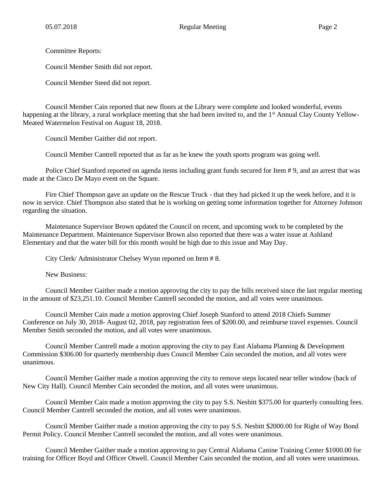Committee Reports:

Council Member Smith did not report.

Council Member Steed did not report.

Council Member Cain reported that new floors at the Library were complete and looked wonderful, events happening at the library, a rural workplace meeting that she had been invited to, and the 1<sup>st</sup> Annual Clay County Yellow-Meated Watermelon Festival on August 18, 2018.

Council Member Gaither did not report.

Council Member Cantrell reported that as far as he knew the youth sports program was going well.

Police Chief Stanford reported on agenda items including grant funds secured for Item # 9, and an arrest that was made at the Cinco De Mayo event on the Square.

Fire Chief Thompson gave an update on the Rescue Truck - that they had picked it up the week before, and it is now in service. Chief Thompson also stated that he is working on getting some information together for Attorney Johnson regarding the situation.

Maintenance Supervisor Brown updated the Council on recent, and upcoming work to be completed by the Maintenance Department. Maintenance Supervisor Brown also reported that there was a water issue at Ashland Elementary and that the water bill for this month would be high due to this issue and May Day.

City Clerk/ Administrator Chelsey Wynn reported on Item # 8.

New Business:

Council Member Gaither made a motion approving the city to pay the bills received since the last regular meeting in the amount of \$23,251.10. Council Member Cantrell seconded the motion, and all votes were unanimous.

Council Member Cain made a motion approving Chief Joseph Stanford to attend 2018 Chiefs Summer Conference on July 30, 2018- August 02, 2018, pay registration fees of \$200.00, and reimburse travel expenses. Council Member Smith seconded the motion, and all votes were unanimous.

Council Member Cantrell made a motion approving the city to pay East Alabama Planning & Development Commission \$306.00 for quarterly membership dues Council Member Cain seconded the motion, and all votes were unanimous.

Council Member Gaither made a motion approving the city to remove steps located near teller window (back of New City Hall). Council Member Cain seconded the motion, and all votes were unanimous.

Council Member Cain made a motion approving the city to pay S.S. Nesbitt \$375.00 for quarterly consulting fees. Council Member Cantrell seconded the motion, and all votes were unanimous.

Council Member Gaither made a motion approving the city to pay S.S. Nesbitt \$2000.00 for Right of Way Bond Permit Policy. Council Member Cantrell seconded the motion, and all votes were unanimous.

Council Member Gaither made a motion approving to pay Central Alabama Canine Training Center \$1000.00 for training for Officer Boyd and Officer Otwell. Council Member Cain seconded the motion, and all votes were unanimous.